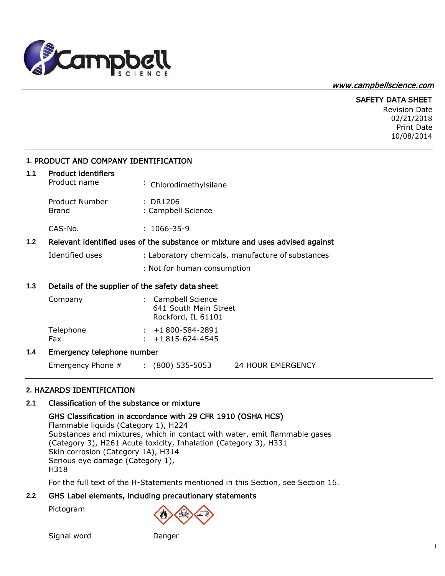

#### [www.campbellscience.com](http://www.campbellscience.com/)

## SAFETY DATA SHEET

Revision Date 02/21/2018 Print Date 10/08/2014

## **1.** PRODUCT AND COMPANY IDENTIFICATION

#### **1.1** Product identifiers

| Product name | : Chlorodimethylsilane |
|--------------|------------------------|
|              |                        |

Product Number : DR1206 Brand : Campbell Science

CAS-No. : 1066-35-9

#### **1.2** Relevant identified uses of the substance or mixture and uses advised against

Identified uses : Laboratory chemicals, manufacture of substances

: Not for human consumption

#### **1.3** Details of the supplier of the safety data sheet

| Company          | : Campbell Science<br>641 South Main Street<br>Rockford, IL 61101 |
|------------------|-------------------------------------------------------------------|
| Telephone<br>Fax | $: +1800 - 584 - 2891$<br>$\div$ +1815-624-4545                   |

#### **1.4** Emergency telephone number

Emergency Phone # : (800) 535-5053 24 HOUR EMERGENCY

## **2.** HAZARDS IDENTIFICATION

## **2.1** Classification of the substance or mixture

#### GHS Classification in accordance with 29 CFR 1910 (OSHA HCS)

Flammable liquids (Category 1), H224 Substances and mixtures, which in contact with water, emit flammable gases (Category 3), H261 Acute toxicity, Inhalation (Category 3), H331 Skin corrosion (Category 1A), H314 Serious eye damage (Category 1), H318

For the full text of the H-Statements mentioned in this Section, see Section 16.

## **2.2** GHS Label elements, including precautionary statements

Pictogram

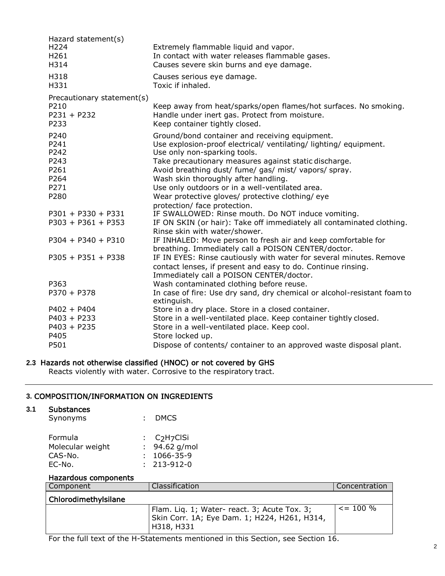| Extremely flammable liquid and vapor.<br>In contact with water releases flammable gases.<br>Causes severe skin burns and eye damage.                                                                                                                                                                                                                                                                                 |
|----------------------------------------------------------------------------------------------------------------------------------------------------------------------------------------------------------------------------------------------------------------------------------------------------------------------------------------------------------------------------------------------------------------------|
| Causes serious eye damage.<br>Toxic if inhaled.                                                                                                                                                                                                                                                                                                                                                                      |
| Keep away from heat/sparks/open flames/hot surfaces. No smoking.<br>Handle under inert gas. Protect from moisture.<br>Keep container tightly closed.                                                                                                                                                                                                                                                                 |
| Ground/bond container and receiving equipment.<br>Use explosion-proof electrical/ ventilating/ lighting/ equipment.<br>Use only non-sparking tools.<br>Take precautionary measures against static discharge.<br>Avoid breathing dust/ fume/ gas/ mist/ vapors/ spray.<br>Wash skin thoroughly after handling.<br>Use only outdoors or in a well-ventilated area.<br>Wear protective gloves/ protective clothing/ eye |
| protection/ face protection.                                                                                                                                                                                                                                                                                                                                                                                         |
| IF SWALLOWED: Rinse mouth. Do NOT induce vomiting.<br>IF ON SKIN (or hair): Take off immediately all contaminated clothing.<br>Rinse skin with water/shower.                                                                                                                                                                                                                                                         |
| IF INHALED: Move person to fresh air and keep comfortable for<br>breathing. Immediately call a POISON CENTER/doctor.                                                                                                                                                                                                                                                                                                 |
| IF IN EYES: Rinse cautiously with water for several minutes. Remove<br>contact lenses, if present and easy to do. Continue rinsing.<br>Immediately call a POISON CENTER/doctor.                                                                                                                                                                                                                                      |
| Wash contaminated clothing before reuse.<br>In case of fire: Use dry sand, dry chemical or alcohol-resistant foam to<br>extinguish.                                                                                                                                                                                                                                                                                  |
| Store in a dry place. Store in a closed container.<br>Store in a well-ventilated place. Keep container tightly closed.<br>Store in a well-ventilated place. Keep cool.<br>Store locked up.<br>Dispose of contents/ container to an approved waste disposal plant.                                                                                                                                                    |
|                                                                                                                                                                                                                                                                                                                                                                                                                      |

## **2.3** Hazards not otherwise classified (HNOC) or not covered by GHS

Reacts violently with water. Corrosive to the respiratory tract.

## **3.** COMPOSITION/INFORMATION ON INGREDIENTS

#### **3.1** Substances

| Synonyms       | : DMCS     |
|----------------|------------|
| <b>Formula</b> | : C2H7ClSi |

| .                |                   |
|------------------|-------------------|
| Molecular weight | : $94.62$ g/mol   |
| CAS-No.          | $: 1066 - 35 - 9$ |
| EC-No.           | $: 213 - 912 - 0$ |

# Hazardous components

| Component            | Classification                                                                                               | <b>Concentration</b> |
|----------------------|--------------------------------------------------------------------------------------------------------------|----------------------|
| Chlorodimethylsilane |                                                                                                              |                      |
|                      | Flam. Liq. 1; Water- react. 3; Acute Tox. 3;<br>Skin Corr. 1A; Eye Dam. 1; H224, H261, H314,<br>  H318, H331 | $\leq$ = 100 %       |

For the full text of the H-Statements mentioned in this Section, see Section 16.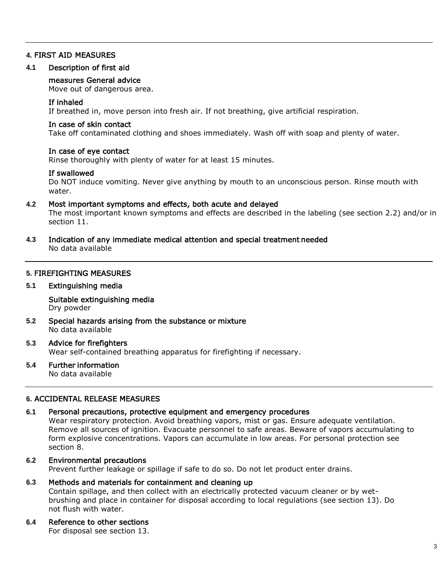## **4.** FIRST AID MEASURES

#### **4.1** Description of first aid

#### measures General advice

Move out of dangerous area.

#### If inhaled

If breathed in, move person into fresh air. If not breathing, give artificial respiration.

#### In case of skin contact

Take off contaminated clothing and shoes immediately. Wash off with soap and plenty of water.

#### In case of eye contact

Rinse thoroughly with plenty of water for at least 15 minutes.

#### If swallowed

Do NOT induce vomiting. Never give anything by mouth to an unconscious person. Rinse mouth with water.

## **4.2** Most important symptoms and effects, both acute and delayed

The most important known symptoms and effects are described in the labeling (see section 2.2) and/or in section 11.

**4.3** Indication of any immediate medical attention and special treatment needed

No data available

## **5.** FIREFIGHTING MEASURES

#### **5.1** Extinguishing media

Suitable extinguishing media Dry powder

**5.2** Special hazards arising from the substance or mixture No data available

## **5.3** Advice for firefighters

Wear self-contained breathing apparatus for firefighting if necessary.

## **5.4** Further information

No data available

## **6.** ACCIDENTAL RELEASE MEASURES

## **6.1** Personal precautions, protective equipment and emergency procedures

Wear respiratory protection. Avoid breathing vapors, mist or gas. Ensure adequate ventilation. Remove all sources of ignition. Evacuate personnel to safe areas. Beware of vapors accumulating to form explosive concentrations. Vapors can accumulate in low areas. For personal protection see section 8.

## **6.2** Environmental precautions

Prevent further leakage or spillage if safe to do so. Do not let product enter drains.

#### **6.3** Methods and materials for containment and cleaning up

Contain spillage, and then collect with an electrically protected vacuum cleaner or by wetbrushing and place in container for disposal according to local regulations (see section 13). Do not flush with water.

#### **6.4** Reference to other sections

For disposal see section 13.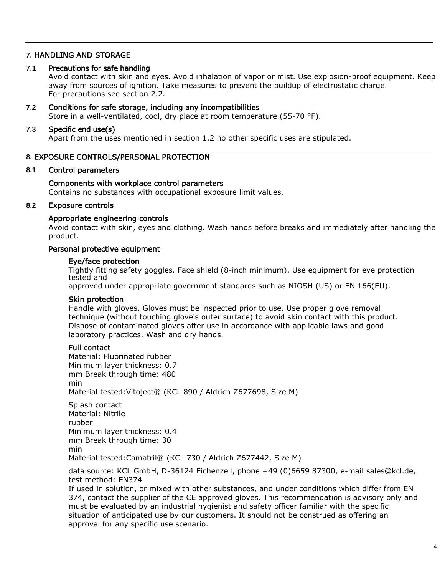#### **7.** HANDLING AND STORAGE

#### **7.1** Precautions for safe handling

Avoid contact with skin and eyes. Avoid inhalation of vapor or mist. Use explosion-proof equipment. Keep away from sources of ignition. Take measures to prevent the buildup of electrostatic charge. For precautions see section 2.2.

#### **7.2** Conditions for safe storage, including any incompatibilities

Store in a well-ventilated, cool, dry place at room temperature (55-70 °F).

#### **7.3** Specific end use(s)

Apart from the uses mentioned in section 1.2 no other specific uses are stipulated.

## **8.** EXPOSURE CONTROLS/PERSONAL PROTECTION

#### **8.1** Control parameters

## Components with workplace control parameters

Contains no substances with occupational exposure limit values.

## **8.2** Exposure controls

#### Appropriate engineering controls

Avoid contact with skin, eyes and clothing. Wash hands before breaks and immediately after handling the product.

## Personal protective equipment

#### Eye/face protection

Tightly fitting safety goggles. Face shield (8-inch minimum). Use equipment for eye protection tested and

approved under appropriate government standards such as NIOSH (US) or EN 166(EU).

#### Skin protection

Handle with gloves. Gloves must be inspected prior to use. Use proper glove removal technique (without touching glove's outer surface) to avoid skin contact with this product. Dispose of contaminated gloves after use in accordance with applicable laws and good laboratory practices. Wash and dry hands.

Full contact Material: Fluorinated rubber Minimum layer thickness: 0.7 mm Break through time: 480 min Material tested:Vitoject® (KCL 890 / Aldrich Z677698, Size M)

Splash contact Material: Nitrile rubber Minimum layer thickness: 0.4 mm Break through time: 30 min Material tested:Camatril® (KCL 730 / Aldrich Z677442, Size M)

data source: KCL GmbH, D-36124 Eichenzell, phone +49 (0)6659 87300, e-mail [sales@kcl.de,](mailto:sales@kcl.de) test method: EN374

If used in solution, or mixed with other substances, and under conditions which differ from EN 374, contact the supplier of the CE approved gloves. This recommendation is advisory only and must be evaluated by an industrial hygienist and safety officer familiar with the specific situation of anticipated use by our customers. It should not be construed as offering an approval for any specific use scenario.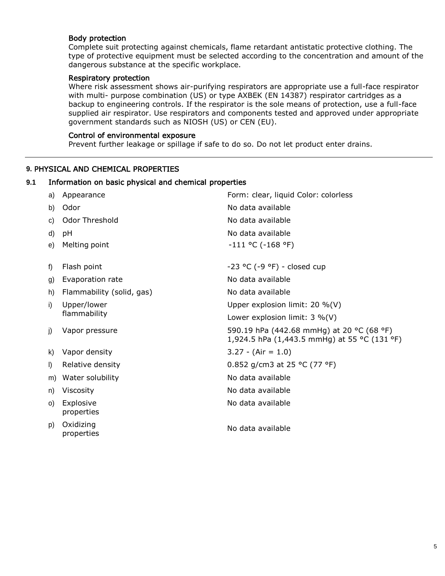## Body protection

Complete suit protecting against chemicals, flame retardant antistatic protective clothing. The type of protective equipment must be selected according to the concentration and amount of the dangerous substance at the specific workplace.

## Respiratory protection

Where risk assessment shows air-purifying respirators are appropriate use a full-face respirator with multi- purpose combination (US) or type AXBEK (EN 14387) respirator cartridges as a backup to engineering controls. If the respirator is the sole means of protection, use a full-face supplied air respirator. Use respirators and components tested and approved under appropriate government standards such as NIOSH (US) or CEN (EU).

## Control of environmental exposure

Prevent further leakage or spillage if safe to do so. Do not let product enter drains.

## **9.** PHYSICAL AND CHEMICAL PROPERTIES

## **9.1** Information on basic physical and chemical properties

| a)      | Appearance                | Form: clear, liquid Color: colorless                                                      |
|---------|---------------------------|-------------------------------------------------------------------------------------------|
| b)      | Odor                      | No data available                                                                         |
| C)      | Odor Threshold            | No data available                                                                         |
| d)      | pH                        | No data available                                                                         |
| e)      | Melting point             | $-111$ °C ( $-168$ °F)                                                                    |
|         |                           |                                                                                           |
| f)      | Flash point               | $-23$ °C (-9 °F) - closed cup                                                             |
| g)      | Evaporation rate          | No data available                                                                         |
| h)      | Flammability (solid, gas) | No data available                                                                         |
| i)      | Upper/lower               | Upper explosion limit: 20 %(V)                                                            |
|         | flammability              | Lower explosion limit: $3\%$ (V)                                                          |
| j)      | Vapor pressure            | 590.19 hPa (442.68 mmHg) at 20 °C (68 °F)<br>1,924.5 hPa (1,443.5 mmHg) at 55 °C (131 °F) |
| k)      | Vapor density             | $3.27 - (Air = 1.0)$                                                                      |
| $\vert$ | Relative density          | 0.852 g/cm3 at 25 °C (77 °F)                                                              |
| m)      | Water solubility          | No data available                                                                         |
| n)      | Viscosity                 | No data available                                                                         |
| O)      | Explosive<br>properties   | No data available                                                                         |
| p)      | Oxidizing<br>properties   | No data available                                                                         |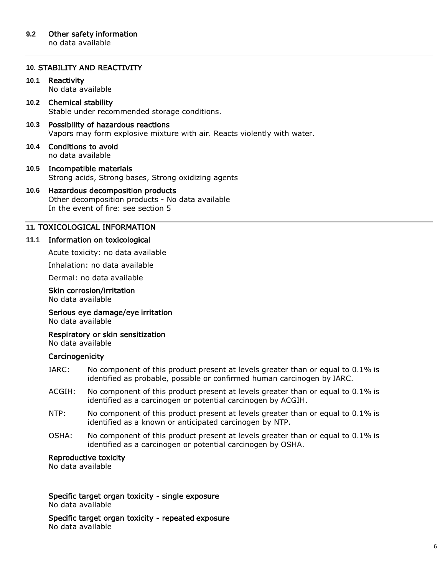## **10.** STABILITY AND REACTIVITY

## **10.1** Reactivity

No data available

#### **10.2** Chemical stability Stable under recommended storage conditions.

## **10.3** Possibility of hazardous reactions Vapors may form explosive mixture with air. Reacts violently with water.

**10.4** Conditions to avoid no data available

## **10.5** Incompatible materials Strong acids, Strong bases, Strong oxidizing agents

#### **10.6** Hazardous decomposition products Other decomposition products - No data available

In the event of fire: see section 5

## **11.** TOXICOLOGICAL INFORMATION

## **11.1** Information on toxicological

Acute toxicity: no data available

Inhalation: no data available

Dermal: no data available

## Skin corrosion/irritation

No data available

# Serious eye damage/eye irritation

No data available

# Respiratory or skin sensitization

No data available

## **Carcinogenicity**

- IARC: No component of this product present at levels greater than or equal to 0.1% is identified as probable, possible or confirmed human carcinogen by IARC.
- ACGIH: No component of this product present at levels greater than or equal to 0.1% is identified as a carcinogen or potential carcinogen by ACGIH.
- NTP: No component of this product present at levels greater than or equal to 0.1% is identified as a known or anticipated carcinogen by NTP.
- OSHA: No component of this product present at levels greater than or equal to 0.1% is identified as a carcinogen or potential carcinogen by OSHA.

## Reproductive toxicity

No data available

#### Specific target organ toxicity - single exposure No data available

Specific target organ toxicity - repeated exposure No data available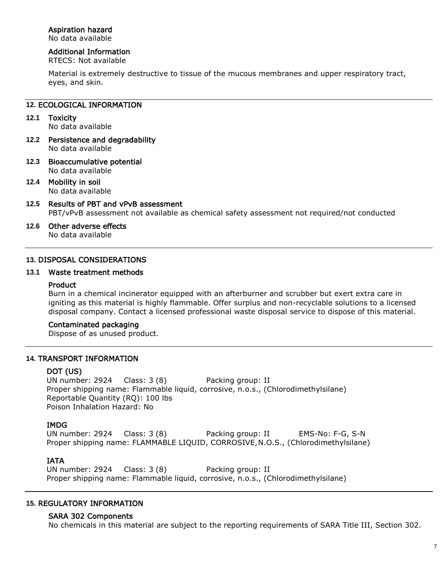## Aspiration hazard

No data available

## Additional Information

RTECS: Not available

Material is extremely destructive to tissue of the mucous membranes and upper respiratory tract, eyes, and skin.

## **12.** ECOLOGICAL INFORMATION

- **12.1** Toxicity No data available
- **12.2** Persistence and degradability No data available
- **12.3** Bioaccumulative potential No data available
- **12.4** Mobility in soil No data available
- **12.5** Results of PBT and vPvB assessment PBT/vPvB assessment not available as chemical safety assessment not required/not conducted
- **12.6** Other adverse effects No data available

## **13.** DISPOSAL CONSIDERATIONS

#### **13.1** Waste treatment methods

#### Product

Burn in a chemical incinerator equipped with an afterburner and scrubber but exert extra care in igniting as this material is highly flammable. Offer surplus and non-recyclable solutions to a licensed disposal company. Contact a licensed professional waste disposal service to dispose of this material.

## Contaminated packaging

Dispose of as unused product.

## **14.** TRANSPORT INFORMATION

## DOT (US)

UN number: 2924 Class: 3 (8) Packing group: II Proper shipping name: Flammable liquid, corrosive, n.o.s., (Chlorodimethylsilane) Reportable Quantity (RQ): 100 lbs Poison Inhalation Hazard: No

## IMDG

UN number: 2924 Class: 3 (8) Packing group: II EMS-No: F-G, S-N Proper shipping name: FLAMMABLE LIQUID, CORROSIVE, N.O.S., (Chlorodimethylsilane)

## IATA

UN number: 2924 Class: 3 (8) Packing group: II Proper shipping name: Flammable liquid, corrosive, n.o.s., (Chlorodimethylsilane)

## **15.** REGULATORY INFORMATION

## SARA 302 Components

No chemicals in this material are subject to the reporting requirements of SARA Title III, Section 302.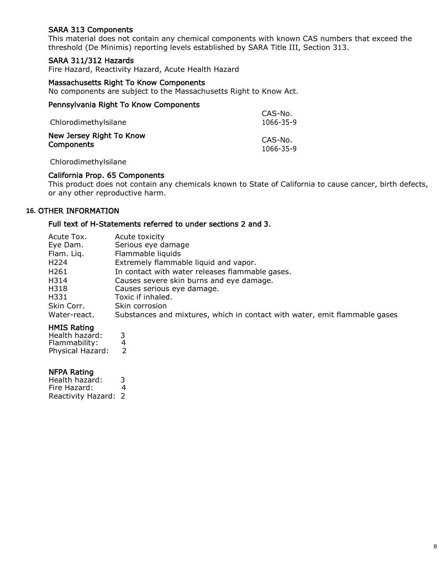## SARA 313 Components

This material does not contain any chemical components with known CAS numbers that exceed the threshold (De Minimis) reporting levels established by SARA Title III, Section 313.

### SARA 311/312 Hazards

Fire Hazard, Reactivity Hazard, Acute Health Hazard

#### Massachusetts Right To Know Components

No components are subject to the Massachusetts Right to Know Act.

# Pennsylvania Right To Know Components

| Chlorodimethylsilane     | 1066-35-9 |
|--------------------------|-----------|
| New Jersey Right To Know | CAS-No.   |
| Components               | 1066-35-9 |

#### Chlorodimethylsilane

#### California Prop. 65 Components

This product does not contain any chemicals known to State of California to cause cancer, birth defects, or any other reproductive harm.

CAS-No.

## **16.** OTHER INFORMATION

## Full text of H-Statements referred to under sections 2 and 3.

| Acute Tox.       | Acute toxicity                                                             |
|------------------|----------------------------------------------------------------------------|
| Eye Dam.         | Serious eye damage                                                         |
| Flam. Liq.       | Flammable liquids                                                          |
| H <sub>224</sub> | Extremely flammable liquid and vapor.                                      |
| H <sub>261</sub> | In contact with water releases flammable gases.                            |
| H314             | Causes severe skin burns and eye damage.                                   |
| H318             | Causes serious eye damage.                                                 |
| H331             | Toxic if inhaled.                                                          |
| Skin Corr.       | Skin corrosion                                                             |
| Water-react.     | Substances and mixtures, which in contact with water, emit flammable gases |

#### HMIS Rating

Health hazard: 3<br>Flammability: 4 Flammability: 4<br>Physical Hazard: 2 Physical Hazard: 2

#### NFPA Rating

Health hazard: 3<br>Fire Hazard: 4 Fire Hazard: 4 Reactivity Hazard: 2